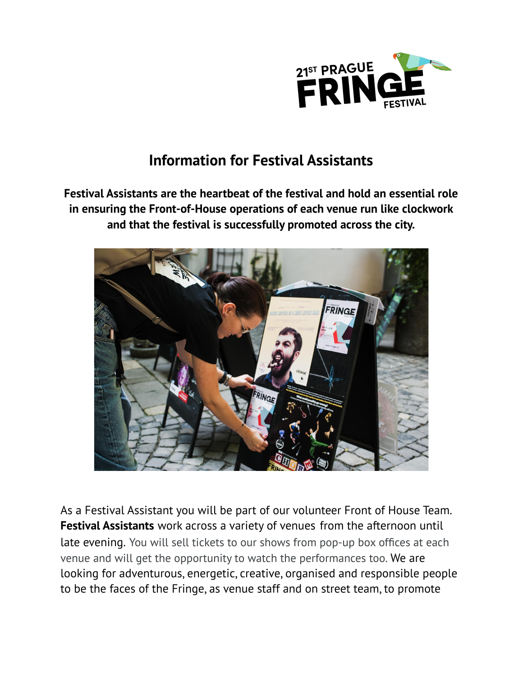

# **Information for Festival Assistants**

**Festival Assistants are the heartbeat of the festival and hold an essential role in ensuring the Front-of-House operations of each venue run like clockwork and that the festival is successfully promoted across the city.**



As a Festival Assistant you will be part of our volunteer Front of House Team. **Festival Assistants** work across a variety of venues from the afternoon until late evening. You will sell tickets to our shows from pop-up box offices at each venue and will get the opportunity to watch the performances too. We are looking for adventurous, energetic, creative, organised and responsible people to be the faces of the Fringe, as venue staff and on street team, to promote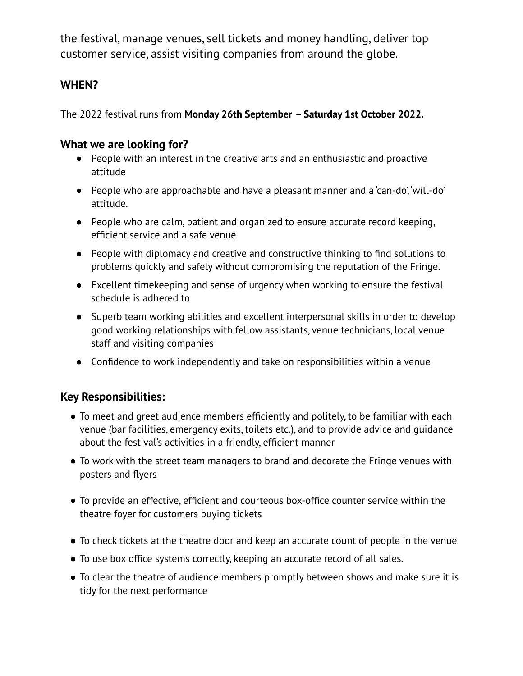the festival, manage venues, sell tickets and money handling, deliver top customer service, assist visiting companies from around the globe.

## **WHEN?**

The 2022 festival runs from **Monday 26th September – Saturday 1st October 2022.**

### **What we are looking for?**

- People with an interest in the creative arts and an enthusiastic and proactive attitude
- People who are approachable and have a pleasant manner and a 'can-do', 'will-do' attitude.
- People who are calm, patient and organized to ensure accurate record keeping, efficient service and a safe venue
- People with diplomacy and creative and constructive thinking to find solutions to problems quickly and safely without compromising the reputation of the Fringe.
- Excellent timekeeping and sense of urgency when working to ensure the festival schedule is adhered to
- Superb team working abilities and excellent interpersonal skills in order to develop good working relationships with fellow assistants, venue technicians, local venue staff and visiting companies
- Confidence to work independently and take on responsibilities within a venue

### **Key Responsibilities:**

- To meet and greet audience members efficiently and politely, to be familiar with each venue (bar facilities, emergency exits, toilets etc.), and to provide advice and guidance about the festival's activities in a friendly, efficient manner
- To work with the street team managers to brand and decorate the Fringe venues with posters and flyers
- To provide an effective, efficient and courteous box-office counter service within the theatre foyer for customers buying tickets
- To check tickets at the theatre door and keep an accurate count of people in the venue
- To use box office systems correctly, keeping an accurate record of all sales.
- To clear the theatre of audience members promptly between shows and make sure it is tidy for the next performance